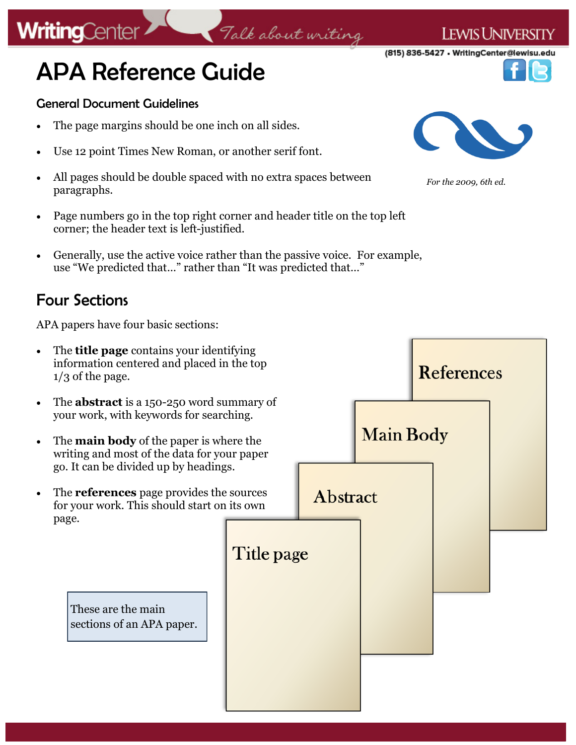# APA Reference Guide

#### General Document Guidelines

**WritingCenter** 

- The page margins should be one inch on all sides.
- Use 12 point Times New Roman, or another serif font.
- All pages should be double spaced with no extra spaces between paragraphs.
- Page numbers go in the top right corner and header title on the top left corner; the header text is left-justified.

Talk about writing

 Generally, use the active voice rather than the passive voice. For example, use "We predicted that…" rather than "It was predicted that…"

## Four Sections

APA papers have four basic sections:

- The **title page** contains your identifying information centered and placed in the top  $1/3$  of the page.
- The **abstract** is a 150-250 word summary of your work, with keywords for searching.
- The **main body** of the paper is where the writing and most of the data for your paper go. It can be divided up by headings.
- The **references** page provides the sources for your work. This should start on its own page.

These are the main sections of an APA paper.



**LEWIS UNIVERSITY** 



*For the 2009, 6th ed.*



(815) 836-5427 • WritingCenter@lewisu.edu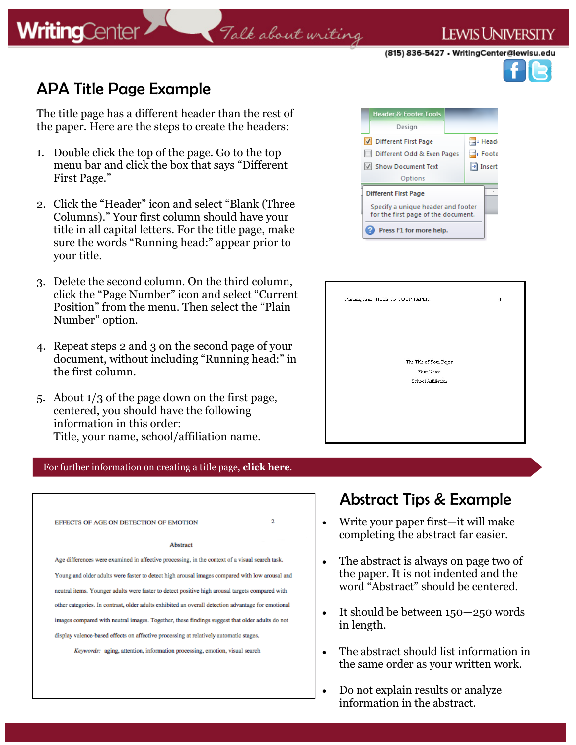**WritingCenter** 

# Talk about writing

(815) 836-5427 • WritingCenter@lewisu.edu

**LEWIS UNIVERSITY** 

# APA Title Page Example

The title page has a different header than the rest of the paper. Here are the steps to create the headers:

- 1. Double click the top of the page. Go to the top menu bar and click the box that says "Different First Page."
- 2. Click the "Header" icon and select "Blank (Three Columns)." Your first column should have your title in all capital letters. For the title page, make sure the words "Running head:" appear prior to your title.
- 3. Delete the second column. On the third column, click the "Page Number" icon and select "Current Position" from the menu. Then select the "Plain Number" option.
- 4. Repeat steps 2 and 3 on the second page of your document, without including "Running head:" in the first column.
- 5. About 1/3 of the page down on the first page, centered, you should have the following information in this order: Title, your name, school/affiliation name.

#### For further information on creating a title page, **[click here](https://lewisuwritingcenter.files.wordpress.com/2014/02/running-header_edited.pdf)**.

| EFFECTS OF AGE ON DETECTION OF EMOTION                                                             | $\overline{2}$ |
|----------------------------------------------------------------------------------------------------|----------------|
| Abstract                                                                                           |                |
| Age differences were examined in affective processing, in the context of a visual search task.     |                |
| Young and older adults were faster to detect high arousal images compared with low arousal and     |                |
| neutral items. Younger adults were faster to detect positive high arousal targets compared with    |                |
| other categories. In contrast, older adults exhibited an overall detection advantage for emotional |                |
| images compared with neutral images. Together, these findings suggest that older adults do not     |                |
| display valence-based effects on affective processing at relatively automatic stages.              |                |
| Keywords: aging, attention, information processing, emotion, visual search                         |                |



| Running head: TITLE OF YOUR PAPER    | 1 |
|--------------------------------------|---|
|                                      |   |
| The Title of Your Paper<br>Your Name |   |
| School Affiliation                   |   |
|                                      |   |
|                                      |   |

## Abstract Tips & Example

- Write your paper first—it will make completing the abstract far easier.
- The abstract is always on page two of the paper. It is not indented and the word "Abstract" should be centered.
- It should be between 150–250 words in length.
- The abstract should list information in the same order as your written work.
- Do not explain results or analyze information in the abstract.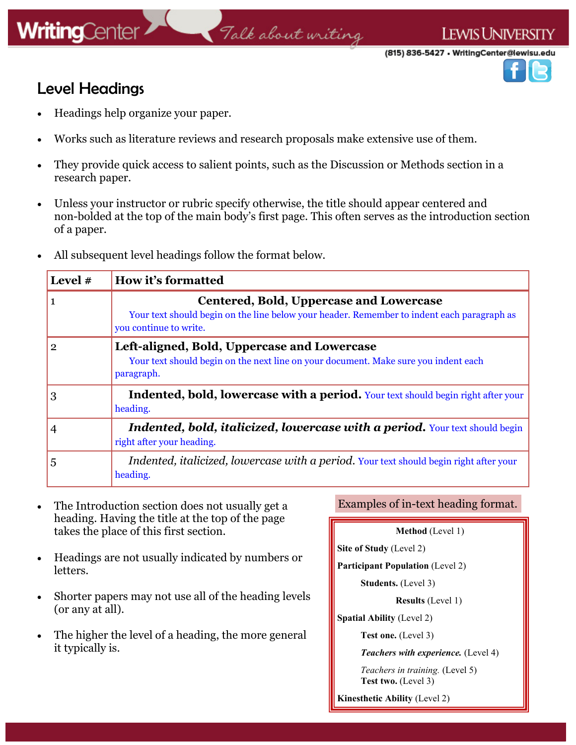## Level Headings

- Headings help organize your paper.
- Works such as literature reviews and research proposals make extensive use of them.
- They provide quick access to salient points, such as the Discussion or Methods section in a research paper.
- Unless your instructor or rubric specify otherwise, the title should appear centered and non-bolded at the top of the main body's first page. This often serves as the introduction section of a paper.

Talk about writing

All subsequent level headings follow the format below.

| Level # | How it's formatted                                                                                                                                                     |
|---------|------------------------------------------------------------------------------------------------------------------------------------------------------------------------|
|         | <b>Centered, Bold, Uppercase and Lowercase</b><br>Your text should begin on the line below your header. Remember to indent each paragraph as<br>you continue to write. |
| 2       | Left-aligned, Bold, Uppercase and Lowercase<br>Your text should begin on the next line on your document. Make sure you indent each<br>paragraph.                       |
| 3       | Indented, bold, lowercase with a period. Your text should begin right after your<br>heading.                                                                           |
|         | Indented, bold, italicized, lowercase with a period. Your text should begin<br>right after your heading.                                                               |
| 5       | Indented, italicized, lowercase with a period. Your text should begin right after your<br>heading.                                                                     |

- The Introduction section does not usually get a Examples of in-text heading format. heading. Having the title at the top of the page takes the place of this first section.
- Headings are not usually indicated by numbers or letters.
- Shorter papers may not use all of the heading levels (or any at all).
- The higher the level of a heading, the more general it typically is.

| Method (Level 1) |  |  |
|------------------|--|--|
|------------------|--|--|

**Site of Study** (Level 2)

**Participant Population** (Level 2)

**Students.** (Level 3)

**Results** (Level 1)

**Spatial Ability** (Level 2)

**Test one.** (Level 3)

*Teachers with experience.* (Level 4)

 *Teachers in training.* (Level 5) **Test two.** (Level 3)

**Kinesthetic Ability** (Level 2)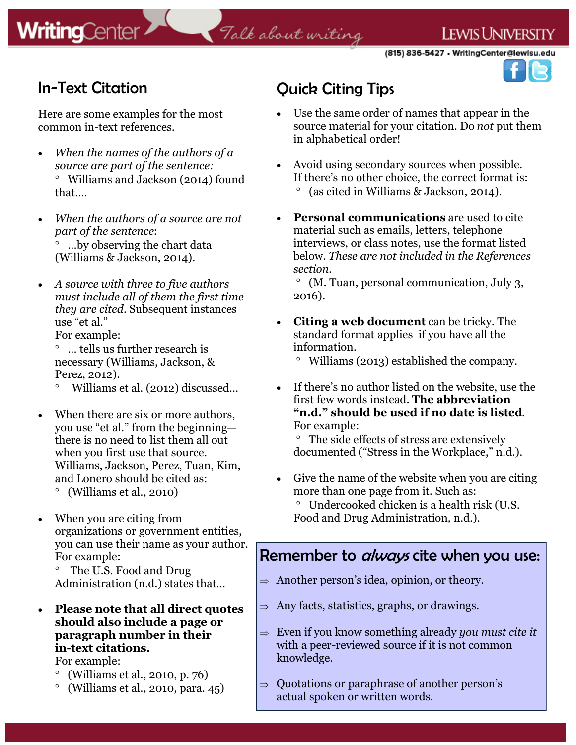# Talk about writing

**LEWIS UNIVERSITY** 



## In-Text Citation

Here are some examples for the most common in-text references.

- *When the names of the authors of a source are part of the sentence:* Williams and Jackson (2014) found that….
- *When the authors of a source are not part of the sentence*: …by observing the chart data (Williams & Jackson, 2014).
- *A source with three to five authors must include all of them the first time they are cited.* Subsequent instances use "et al." For example:

 … tells us further research is necessary (Williams, Jackson, &

Perez, 2012).

Williams et al. (2012) discussed…

- When there are six or more authors, you use "et al." from the beginning there is no need to list them all out when you first use that source. Williams, Jackson, Perez, Tuan, Kim, and Lonero should be cited as: (Williams et al., 2010)
- When you are citing from organizations or government entities, you can use their name as your author. For example:

 The U.S. Food and Drug Administration (n.d.) states that…

 **Please note that all direct quotes should also include a page or paragraph number in their in-text citations.**

For example:

- (Williams et al., 2010, p. 76)
- $\degree$  (Williams et al., 2010, para. 45)

# Quick Citing Tips

- Use the same order of names that appear in the source material for your citation. Do *not* put them in alphabetical order!
- Avoid using secondary sources when possible. If there's no other choice, the correct format is: (as cited in Williams & Jackson, 2014).
- **Personal communications** are used to cite material such as emails, letters, telephone interviews, or class notes, use the format listed below. *These are not included in the References section.*

 (M. Tuan, personal communication, July 3, 2016).

 **Citing a web document** can be tricky. The standard format applies if you have all the information.

Williams (2013) established the company.

 If there's no author listed on the website, use the first few words instead. **The abbreviation "n.d." should be used if no date is listed**. For example:

 The side effects of stress are extensively documented ("Stress in the Workplace," n.d.).

- Give the name of the website when you are citing more than one page from it. Such as: Undercooked chicken is a health risk (U.S.
	- Food and Drug Administration, n.d.).

## Remember to *always* cite when you use:

- $\Rightarrow$  Another person's idea, opinion, or theory.
- $\Rightarrow$  Any facts, statistics, graphs, or drawings.
- $\Rightarrow$  Even if you know something already *you must cite it* with a peer-reviewed source if it is not common knowledge.
- $\Rightarrow$  Quotations or paraphrase of another person's actual spoken or written words.